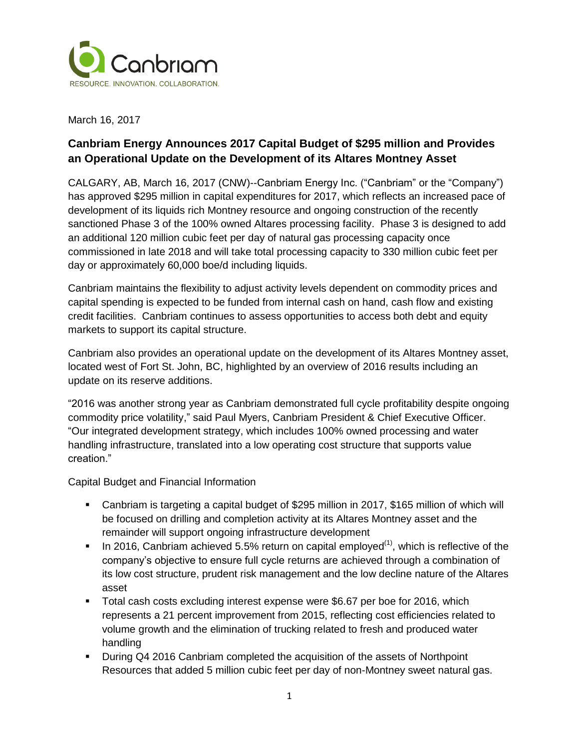

March 16, 2017

# **Canbriam Energy Announces 2017 Capital Budget of \$295 million and Provides an Operational Update on the Development of its Altares Montney Asset**

CALGARY, AB, March 16, 2017 (CNW)--Canbriam Energy Inc. ("Canbriam" or the "Company") has approved \$295 million in capital expenditures for 2017, which reflects an increased pace of development of its liquids rich Montney resource and ongoing construction of the recently sanctioned Phase 3 of the 100% owned Altares processing facility. Phase 3 is designed to add an additional 120 million cubic feet per day of natural gas processing capacity once commissioned in late 2018 and will take total processing capacity to 330 million cubic feet per day or approximately 60,000 boe/d including liquids.

Canbriam maintains the flexibility to adjust activity levels dependent on commodity prices and capital spending is expected to be funded from internal cash on hand, cash flow and existing credit facilities. Canbriam continues to assess opportunities to access both debt and equity markets to support its capital structure.

Canbriam also provides an operational update on the development of its Altares Montney asset, located west of Fort St. John, BC, highlighted by an overview of 2016 results including an update on its reserve additions.

"2016 was another strong year as Canbriam demonstrated full cycle profitability despite ongoing commodity price volatility," said Paul Myers, Canbriam President & Chief Executive Officer. "Our integrated development strategy, which includes 100% owned processing and water handling infrastructure, translated into a low operating cost structure that supports value creation."

Capital Budget and Financial Information

- Canbriam is targeting a capital budget of \$295 million in 2017, \$165 million of which will be focused on drilling and completion activity at its Altares Montney asset and the remainder will support ongoing infrastructure development
- In 2016, Canbriam achieved 5.5% return on capital employed<sup>(1)</sup>, which is reflective of the company's objective to ensure full cycle returns are achieved through a combination of its low cost structure, prudent risk management and the low decline nature of the Altares asset
- Total cash costs excluding interest expense were \$6.67 per boe for 2016, which represents a 21 percent improvement from 2015, reflecting cost efficiencies related to volume growth and the elimination of trucking related to fresh and produced water handling
- During Q4 2016 Canbriam completed the acquisition of the assets of Northpoint Resources that added 5 million cubic feet per day of non-Montney sweet natural gas.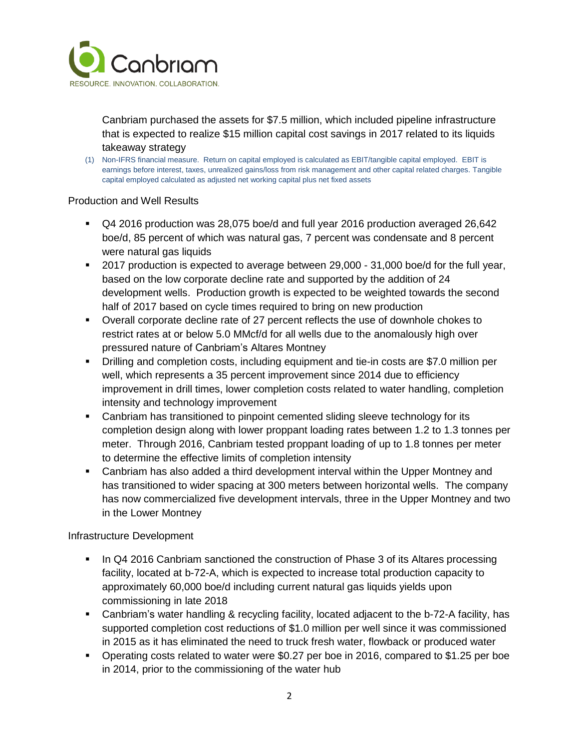

Canbriam purchased the assets for \$7.5 million, which included pipeline infrastructure that is expected to realize \$15 million capital cost savings in 2017 related to its liquids takeaway strategy

(1) Non-IFRS financial measure. Return on capital employed is calculated as EBIT/tangible capital employed. EBIT is earnings before interest, taxes, unrealized gains/loss from risk management and other capital related charges. Tangible capital employed calculated as adjusted net working capital plus net fixed assets

## Production and Well Results

- Q4 2016 production was 28,075 boe/d and full year 2016 production averaged 26,642 boe/d, 85 percent of which was natural gas, 7 percent was condensate and 8 percent were natural gas liquids
- 2017 production is expected to average between 29,000 31,000 boe/d for the full year, based on the low corporate decline rate and supported by the addition of 24 development wells. Production growth is expected to be weighted towards the second half of 2017 based on cycle times required to bring on new production
- Overall corporate decline rate of 27 percent reflects the use of downhole chokes to restrict rates at or below 5.0 MMcf/d for all wells due to the anomalously high over pressured nature of Canbriam's Altares Montney
- Drilling and completion costs, including equipment and tie-in costs are \$7.0 million per well, which represents a 35 percent improvement since 2014 due to efficiency improvement in drill times, lower completion costs related to water handling, completion intensity and technology improvement
- Canbriam has transitioned to pinpoint cemented sliding sleeve technology for its completion design along with lower proppant loading rates between 1.2 to 1.3 tonnes per meter. Through 2016, Canbriam tested proppant loading of up to 1.8 tonnes per meter to determine the effective limits of completion intensity
- Canbriam has also added a third development interval within the Upper Montney and has transitioned to wider spacing at 300 meters between horizontal wells. The company has now commercialized five development intervals, three in the Upper Montney and two in the Lower Montney

Infrastructure Development

- In Q4 2016 Canbriam sanctioned the construction of Phase 3 of its Altares processing facility, located at b-72-A, which is expected to increase total production capacity to approximately 60,000 boe/d including current natural gas liquids yields upon commissioning in late 2018
- Canbriam's water handling & recycling facility, located adjacent to the b-72-A facility, has supported completion cost reductions of \$1.0 million per well since it was commissioned in 2015 as it has eliminated the need to truck fresh water, flowback or produced water
- Operating costs related to water were \$0.27 per boe in 2016, compared to \$1.25 per boe in 2014, prior to the commissioning of the water hub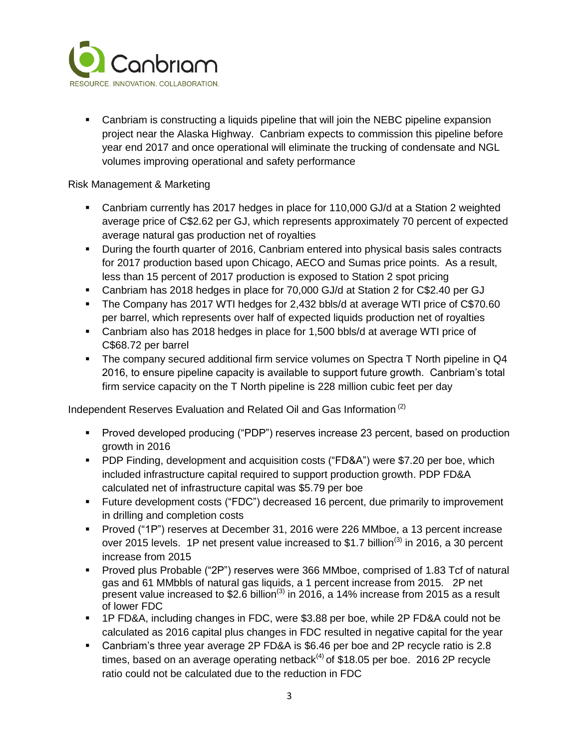

 Canbriam is constructing a liquids pipeline that will join the NEBC pipeline expansion project near the Alaska Highway. Canbriam expects to commission this pipeline before year end 2017 and once operational will eliminate the trucking of condensate and NGL volumes improving operational and safety performance

## Risk Management & Marketing

- Canbriam currently has 2017 hedges in place for 110,000 GJ/d at a Station 2 weighted average price of C\$2.62 per GJ, which represents approximately 70 percent of expected average natural gas production net of royalties
- During the fourth quarter of 2016, Canbriam entered into physical basis sales contracts for 2017 production based upon Chicago, AECO and Sumas price points. As a result, less than 15 percent of 2017 production is exposed to Station 2 spot pricing
- Canbriam has 2018 hedges in place for 70,000 GJ/d at Station 2 for C\$2.40 per GJ
- The Company has 2017 WTI hedges for 2,432 bbls/d at average WTI price of C\$70.60 per barrel, which represents over half of expected liquids production net of royalties
- Canbriam also has 2018 hedges in place for 1,500 bbls/d at average WTI price of C\$68.72 per barrel
- The company secured additional firm service volumes on Spectra T North pipeline in Q4 2016, to ensure pipeline capacity is available to support future growth. Canbriam's total firm service capacity on the T North pipeline is 228 million cubic feet per day

Independent Reserves Evaluation and Related Oil and Gas Information (2)

- Proved developed producing ("PDP") reserves increase 23 percent, based on production growth in 2016
- PDP Finding, development and acquisition costs ("FD&A") were \$7.20 per boe, which included infrastructure capital required to support production growth. PDP FD&A calculated net of infrastructure capital was \$5.79 per boe
- Future development costs ("FDC") decreased 16 percent, due primarily to improvement in drilling and completion costs
- Proved ("1P") reserves at December 31, 2016 were 226 MMboe, a 13 percent increase over 2015 levels. 1P net present value increased to \$1.7 billion<sup>(3)</sup> in 2016, a 30 percent increase from 2015
- Proved plus Probable ("2P") reserves were 366 MMboe, comprised of 1.83 Tcf of natural gas and 61 MMbbls of natural gas liquids, a 1 percent increase from 2015. 2P net present value increased to \$2.6 billion<sup>(3)</sup> in 2016, a 14% increase from 2015 as a result of lower FDC
- 1P FD&A, including changes in FDC, were \$3.88 per boe, while 2P FD&A could not be calculated as 2016 capital plus changes in FDC resulted in negative capital for the year
- Canbriam's three year average 2P FD&A is \$6.46 per boe and 2P recycle ratio is 2.8 times, based on an average operating netback<sup>(4)</sup> of \$18.05 per boe. 2016 2P recycle ratio could not be calculated due to the reduction in FDC